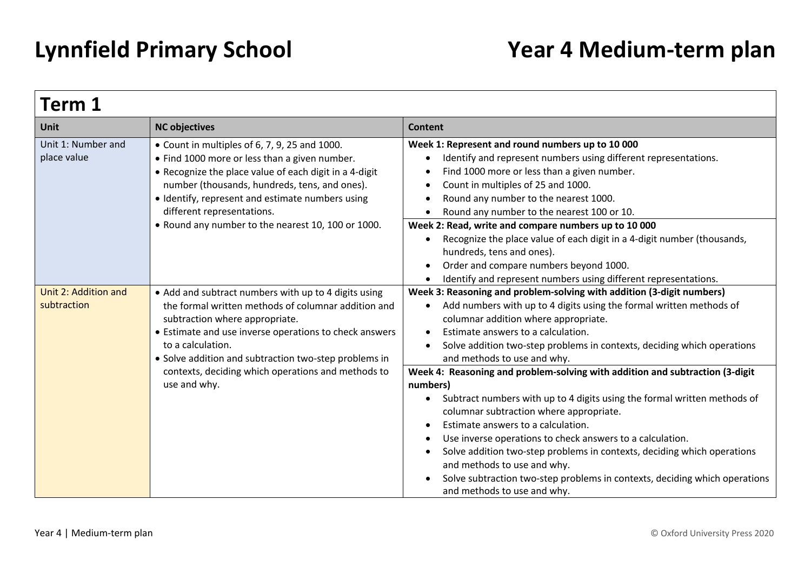| Term 1                              |                                                                                                                                                                                                                                                                                                                                                             |                                                                                                                                                                                                                                                                                                                                                                                                                                                                                                                                                        |  |
|-------------------------------------|-------------------------------------------------------------------------------------------------------------------------------------------------------------------------------------------------------------------------------------------------------------------------------------------------------------------------------------------------------------|--------------------------------------------------------------------------------------------------------------------------------------------------------------------------------------------------------------------------------------------------------------------------------------------------------------------------------------------------------------------------------------------------------------------------------------------------------------------------------------------------------------------------------------------------------|--|
| Unit                                | <b>NC objectives</b>                                                                                                                                                                                                                                                                                                                                        | <b>Content</b>                                                                                                                                                                                                                                                                                                                                                                                                                                                                                                                                         |  |
| Unit 1: Number and<br>place value   | • Count in multiples of 6, 7, 9, 25 and 1000.<br>• Find 1000 more or less than a given number.<br>. Recognize the place value of each digit in a 4-digit<br>number (thousands, hundreds, tens, and ones).<br>• Identify, represent and estimate numbers using<br>different representations.<br>. Round any number to the nearest 10, 100 or 1000.           | Week 1: Represent and round numbers up to 10 000<br>Identify and represent numbers using different representations.<br>Find 1000 more or less than a given number.<br>Count in multiples of 25 and 1000.<br>Round any number to the nearest 1000.<br>Round any number to the nearest 100 or 10.                                                                                                                                                                                                                                                        |  |
|                                     |                                                                                                                                                                                                                                                                                                                                                             | Week 2: Read, write and compare numbers up to 10 000<br>Recognize the place value of each digit in a 4-digit number (thousands,<br>hundreds, tens and ones).<br>Order and compare numbers beyond 1000.<br>Identify and represent numbers using different representations.                                                                                                                                                                                                                                                                              |  |
| Unit 2: Addition and<br>subtraction | • Add and subtract numbers with up to 4 digits using<br>the formal written methods of columnar addition and<br>subtraction where appropriate.<br>• Estimate and use inverse operations to check answers<br>to a calculation.<br>• Solve addition and subtraction two-step problems in<br>contexts, deciding which operations and methods to<br>use and why. | Week 3: Reasoning and problem-solving with addition (3-digit numbers)<br>Add numbers with up to 4 digits using the formal written methods of<br>columnar addition where appropriate.<br>Estimate answers to a calculation.<br>Solve addition two-step problems in contexts, deciding which operations<br>and methods to use and why.                                                                                                                                                                                                                   |  |
|                                     |                                                                                                                                                                                                                                                                                                                                                             | Week 4: Reasoning and problem-solving with addition and subtraction (3-digit<br>numbers)<br>Subtract numbers with up to 4 digits using the formal written methods of<br>columnar subtraction where appropriate.<br>Estimate answers to a calculation.<br>Use inverse operations to check answers to a calculation.<br>$\bullet$<br>Solve addition two-step problems in contexts, deciding which operations<br>and methods to use and why.<br>Solve subtraction two-step problems in contexts, deciding which operations<br>and methods to use and why. |  |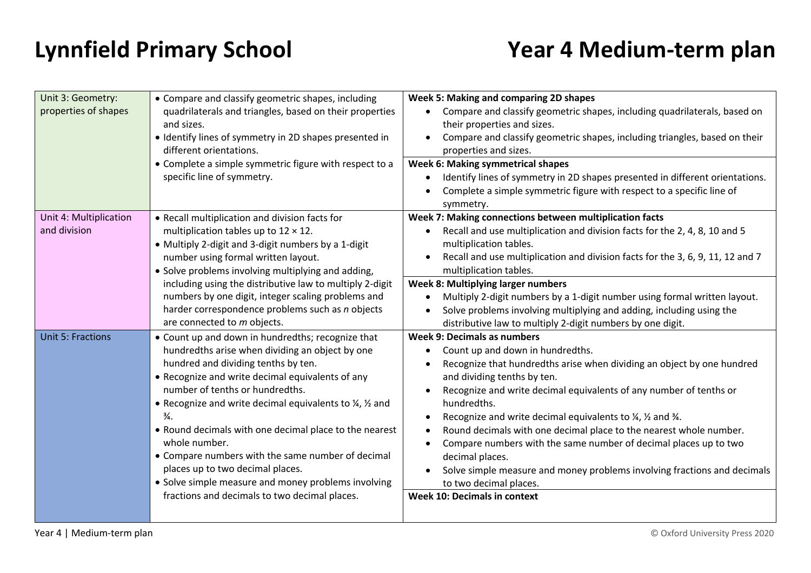| Unit 3: Geometry:        | • Compare and classify geometric shapes, including                                  | Week 5: Making and comparing 2D shapes                                                                   |
|--------------------------|-------------------------------------------------------------------------------------|----------------------------------------------------------------------------------------------------------|
| properties of shapes     | quadrilaterals and triangles, based on their properties<br>and sizes.               | Compare and classify geometric shapes, including quadrilaterals, based on<br>their properties and sizes. |
|                          | · Identify lines of symmetry in 2D shapes presented in<br>different orientations.   | Compare and classify geometric shapes, including triangles, based on their<br>properties and sizes.      |
|                          | • Complete a simple symmetric figure with respect to a                              | <b>Week 6: Making symmetrical shapes</b>                                                                 |
|                          | specific line of symmetry.                                                          | Identify lines of symmetry in 2D shapes presented in different orientations.                             |
|                          |                                                                                     | Complete a simple symmetric figure with respect to a specific line of<br>symmetry.                       |
| Unit 4: Multiplication   | • Recall multiplication and division facts for                                      | Week 7: Making connections between multiplication facts                                                  |
| and division             | multiplication tables up to $12 \times 12$ .                                        | Recall and use multiplication and division facts for the 2, 4, 8, 10 and 5                               |
|                          | • Multiply 2-digit and 3-digit numbers by a 1-digit                                 | multiplication tables.                                                                                   |
|                          | number using formal written layout.                                                 | Recall and use multiplication and division facts for the 3, 6, 9, 11, 12 and 7                           |
|                          | • Solve problems involving multiplying and adding,                                  | multiplication tables.                                                                                   |
|                          | including using the distributive law to multiply 2-digit                            | Week 8: Multiplying larger numbers                                                                       |
|                          | numbers by one digit, integer scaling problems and                                  | Multiply 2-digit numbers by a 1-digit number using formal written layout.                                |
|                          | harder correspondence problems such as n objects                                    | Solve problems involving multiplying and adding, including using the                                     |
|                          | are connected to m objects.                                                         | distributive law to multiply 2-digit numbers by one digit.                                               |
| <b>Unit 5: Fractions</b> | • Count up and down in hundredths; recognize that                                   | Week 9: Decimals as numbers                                                                              |
|                          | hundredths arise when dividing an object by one                                     | Count up and down in hundredths.                                                                         |
|                          | hundred and dividing tenths by ten.                                                 | Recognize that hundredths arise when dividing an object by one hundred                                   |
|                          | • Recognize and write decimal equivalents of any<br>number of tenths or hundredths. | and dividing tenths by ten.                                                                              |
|                          | • Recognize and write decimal equivalents to 1/4, 1/2 and                           | Recognize and write decimal equivalents of any number of tenths or<br>hundredths.                        |
|                          | $\frac{3}{4}$ .                                                                     | Recognize and write decimal equivalents to $\frac{1}{4}$ , $\frac{1}{2}$ and $\frac{3}{4}$ .             |
|                          | • Round decimals with one decimal place to the nearest                              | Round decimals with one decimal place to the nearest whole number.                                       |
|                          | whole number.                                                                       | Compare numbers with the same number of decimal places up to two                                         |
|                          | • Compare numbers with the same number of decimal                                   | decimal places.                                                                                          |
|                          | places up to two decimal places.                                                    | Solve simple measure and money problems involving fractions and decimals                                 |
|                          | • Solve simple measure and money problems involving                                 | to two decimal places.                                                                                   |
|                          | fractions and decimals to two decimal places.                                       | <b>Week 10: Decimals in context</b>                                                                      |
|                          |                                                                                     |                                                                                                          |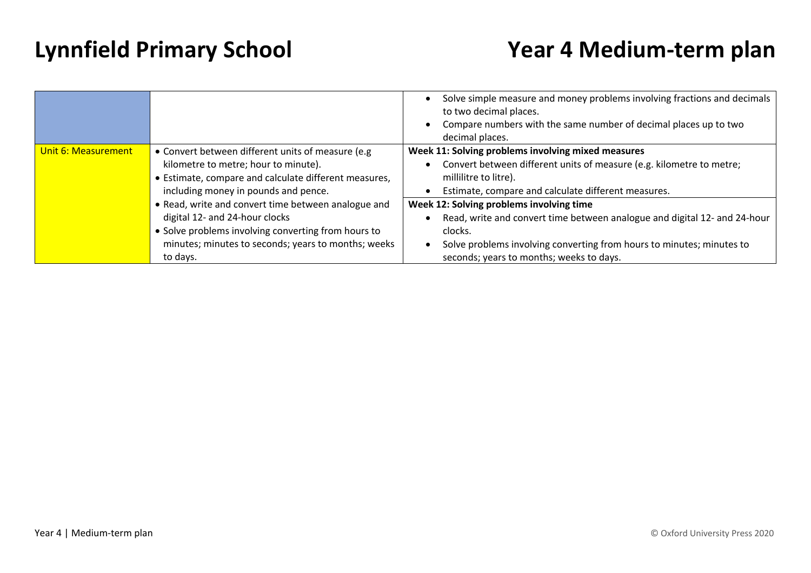|                     |                                                                                                                                                                                                                 | Solve simple measure and money problems involving fractions and decimals<br>to two decimal places.<br>Compare numbers with the same number of decimal places up to two<br>decimal places.                                                             |
|---------------------|-----------------------------------------------------------------------------------------------------------------------------------------------------------------------------------------------------------------|-------------------------------------------------------------------------------------------------------------------------------------------------------------------------------------------------------------------------------------------------------|
| Unit 6: Measurement | • Convert between different units of measure (e.g)<br>kilometre to metre; hour to minute).<br>• Estimate, compare and calculate different measures,<br>including money in pounds and pence.                     | Week 11: Solving problems involving mixed measures<br>Convert between different units of measure (e.g. kilometre to metre;<br>millilitre to litre).<br>Estimate, compare and calculate different measures.                                            |
|                     | • Read, write and convert time between analogue and<br>digital 12- and 24-hour clocks<br>• Solve problems involving converting from hours to<br>minutes; minutes to seconds; years to months; weeks<br>to days. | Week 12: Solving problems involving time<br>Read, write and convert time between analogue and digital 12- and 24-hour<br>clocks.<br>Solve problems involving converting from hours to minutes; minutes to<br>seconds; years to months; weeks to days. |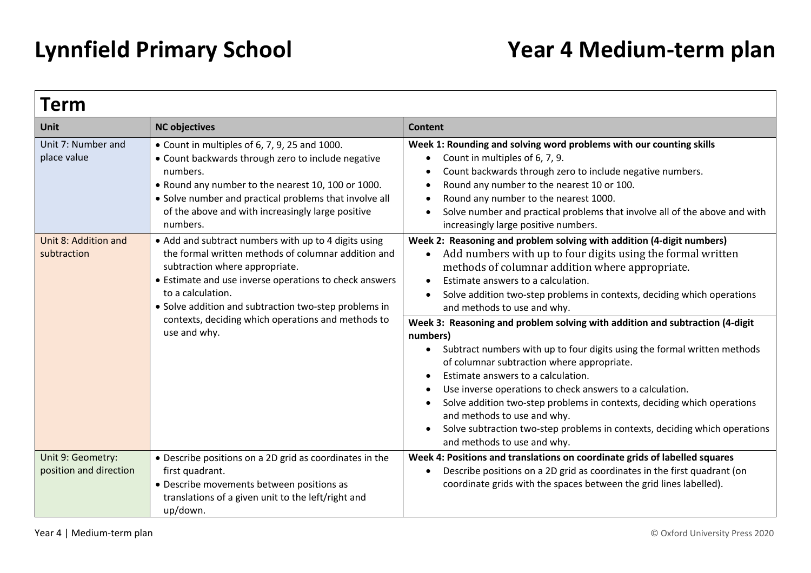| Term                                                      |                                                                                                                                                                                                                                                                                                                                                                  |                                                                                                                                                                                                                                                                                                                                                                                                                                                                                                              |  |
|-----------------------------------------------------------|------------------------------------------------------------------------------------------------------------------------------------------------------------------------------------------------------------------------------------------------------------------------------------------------------------------------------------------------------------------|--------------------------------------------------------------------------------------------------------------------------------------------------------------------------------------------------------------------------------------------------------------------------------------------------------------------------------------------------------------------------------------------------------------------------------------------------------------------------------------------------------------|--|
| Unit                                                      | <b>NC objectives</b>                                                                                                                                                                                                                                                                                                                                             | <b>Content</b>                                                                                                                                                                                                                                                                                                                                                                                                                                                                                               |  |
| Unit 7: Number and<br>place value<br>Unit 8: Addition and | $\bullet$ Count in multiples of 6, 7, 9, 25 and 1000.<br>• Count backwards through zero to include negative<br>numbers.<br>• Round any number to the nearest 10, 100 or 1000.<br>• Solve number and practical problems that involve all<br>of the above and with increasingly large positive<br>numbers.<br>• Add and subtract numbers with up to 4 digits using | Week 1: Rounding and solving word problems with our counting skills<br>Count in multiples of 6, 7, 9.<br>$\bullet$<br>Count backwards through zero to include negative numbers.<br>$\bullet$<br>Round any number to the nearest 10 or 100.<br>$\bullet$<br>Round any number to the nearest 1000.<br>$\bullet$<br>Solve number and practical problems that involve all of the above and with<br>increasingly large positive numbers.<br>Week 2: Reasoning and problem solving with addition (4-digit numbers) |  |
| subtraction                                               | the formal written methods of columnar addition and<br>subtraction where appropriate.<br>• Estimate and use inverse operations to check answers<br>to a calculation.<br>• Solve addition and subtraction two-step problems in<br>contexts, deciding which operations and methods to<br>use and why.                                                              | Add numbers with up to four digits using the formal written<br>$\bullet$<br>methods of columnar addition where appropriate.<br>Estimate answers to a calculation.<br>$\bullet$<br>Solve addition two-step problems in contexts, deciding which operations<br>$\bullet$<br>and methods to use and why.<br>Week 3: Reasoning and problem solving with addition and subtraction (4-digit                                                                                                                        |  |
|                                                           |                                                                                                                                                                                                                                                                                                                                                                  | numbers)<br>Subtract numbers with up to four digits using the formal written methods<br>of columnar subtraction where appropriate.<br>Estimate answers to a calculation.<br>$\bullet$<br>Use inverse operations to check answers to a calculation.<br>$\bullet$<br>Solve addition two-step problems in contexts, deciding which operations<br>$\bullet$<br>and methods to use and why.<br>Solve subtraction two-step problems in contexts, deciding which operations<br>and methods to use and why.          |  |
| Unit 9: Geometry:<br>position and direction               | • Describe positions on a 2D grid as coordinates in the<br>first quadrant.<br>• Describe movements between positions as<br>translations of a given unit to the left/right and<br>up/down.                                                                                                                                                                        | Week 4: Positions and translations on coordinate grids of labelled squares<br>Describe positions on a 2D grid as coordinates in the first quadrant (on<br>$\bullet$<br>coordinate grids with the spaces between the grid lines labelled).                                                                                                                                                                                                                                                                    |  |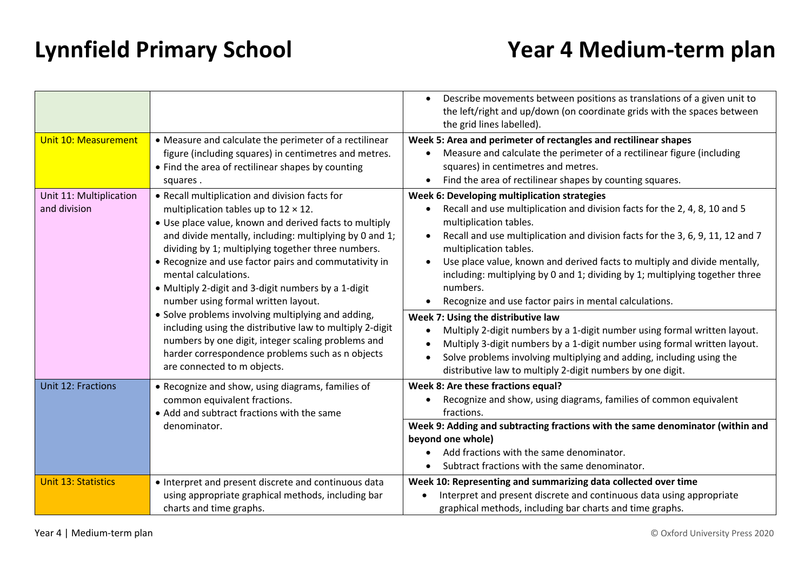|                                         |                                                                                                                                                                                                                                                                                                                                                                                                                                                                                                                                                                                                                                                                                                                     | Describe movements between positions as translations of a given unit to<br>$\bullet$<br>the left/right and up/down (on coordinate grids with the spaces between<br>the grid lines labelled).                                                                                                                                                                                                                                                                                                                                                                                                                                                                                                                                                                                                                                              |
|-----------------------------------------|---------------------------------------------------------------------------------------------------------------------------------------------------------------------------------------------------------------------------------------------------------------------------------------------------------------------------------------------------------------------------------------------------------------------------------------------------------------------------------------------------------------------------------------------------------------------------------------------------------------------------------------------------------------------------------------------------------------------|-------------------------------------------------------------------------------------------------------------------------------------------------------------------------------------------------------------------------------------------------------------------------------------------------------------------------------------------------------------------------------------------------------------------------------------------------------------------------------------------------------------------------------------------------------------------------------------------------------------------------------------------------------------------------------------------------------------------------------------------------------------------------------------------------------------------------------------------|
| <b>Unit 10: Measurement</b>             | • Measure and calculate the perimeter of a rectilinear<br>figure (including squares) in centimetres and metres.<br>• Find the area of rectilinear shapes by counting<br>squares.                                                                                                                                                                                                                                                                                                                                                                                                                                                                                                                                    | Week 5: Area and perimeter of rectangles and rectilinear shapes<br>Measure and calculate the perimeter of a rectilinear figure (including<br>squares) in centimetres and metres.<br>Find the area of rectilinear shapes by counting squares.<br>$\bullet$                                                                                                                                                                                                                                                                                                                                                                                                                                                                                                                                                                                 |
| Unit 11: Multiplication<br>and division | • Recall multiplication and division facts for<br>multiplication tables up to $12 \times 12$ .<br>• Use place value, known and derived facts to multiply<br>and divide mentally, including: multiplying by 0 and 1;<br>dividing by 1; multiplying together three numbers.<br>• Recognize and use factor pairs and commutativity in<br>mental calculations.<br>• Multiply 2-digit and 3-digit numbers by a 1-digit<br>number using formal written layout.<br>• Solve problems involving multiplying and adding,<br>including using the distributive law to multiply 2-digit<br>numbers by one digit, integer scaling problems and<br>harder correspondence problems such as n objects<br>are connected to m objects. | Week 6: Developing multiplication strategies<br>Recall and use multiplication and division facts for the 2, 4, 8, 10 and 5<br>multiplication tables.<br>Recall and use multiplication and division facts for the 3, 6, 9, 11, 12 and 7<br>multiplication tables.<br>Use place value, known and derived facts to multiply and divide mentally,<br>including: multiplying by 0 and 1; dividing by 1; multiplying together three<br>numbers.<br>Recognize and use factor pairs in mental calculations.<br>Week 7: Using the distributive law<br>Multiply 2-digit numbers by a 1-digit number using formal written layout.<br>Multiply 3-digit numbers by a 1-digit number using formal written layout.<br>Solve problems involving multiplying and adding, including using the<br>distributive law to multiply 2-digit numbers by one digit. |
| Unit 12: Fractions                      | • Recognize and show, using diagrams, families of<br>common equivalent fractions.<br>• Add and subtract fractions with the same<br>denominator.                                                                                                                                                                                                                                                                                                                                                                                                                                                                                                                                                                     | Week 8: Are these fractions equal?<br>Recognize and show, using diagrams, families of common equivalent<br>fractions.<br>Week 9: Adding and subtracting fractions with the same denominator (within and<br>beyond one whole)<br>Add fractions with the same denominator.<br>Subtract fractions with the same denominator.                                                                                                                                                                                                                                                                                                                                                                                                                                                                                                                 |
| <b>Unit 13: Statistics</b>              | • Interpret and present discrete and continuous data<br>using appropriate graphical methods, including bar<br>charts and time graphs.                                                                                                                                                                                                                                                                                                                                                                                                                                                                                                                                                                               | Week 10: Representing and summarizing data collected over time<br>Interpret and present discrete and continuous data using appropriate<br>graphical methods, including bar charts and time graphs.                                                                                                                                                                                                                                                                                                                                                                                                                                                                                                                                                                                                                                        |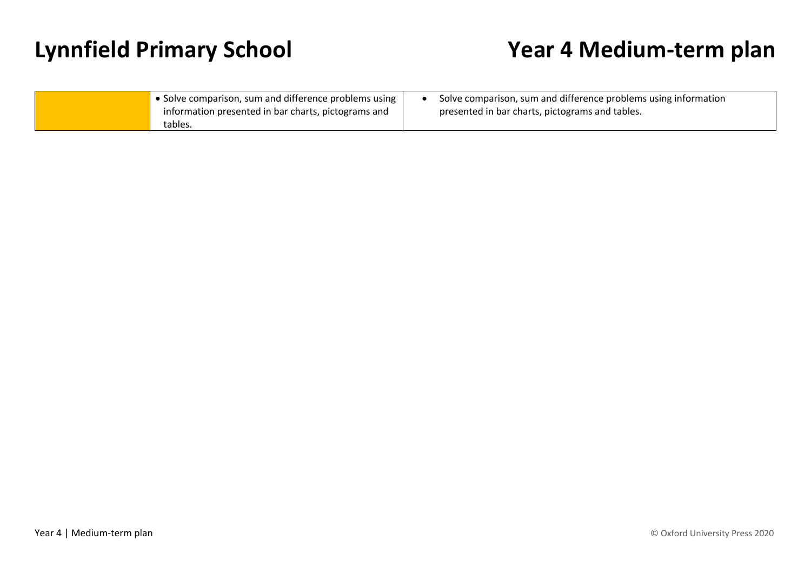| • Solve comparison, sum and difference problems using | Solve comparison, sum and difference problems using information |
|-------------------------------------------------------|-----------------------------------------------------------------|
| information presented in bar charts, pictograms and   | presented in bar charts, pictograms and tables.                 |
| tables.                                               |                                                                 |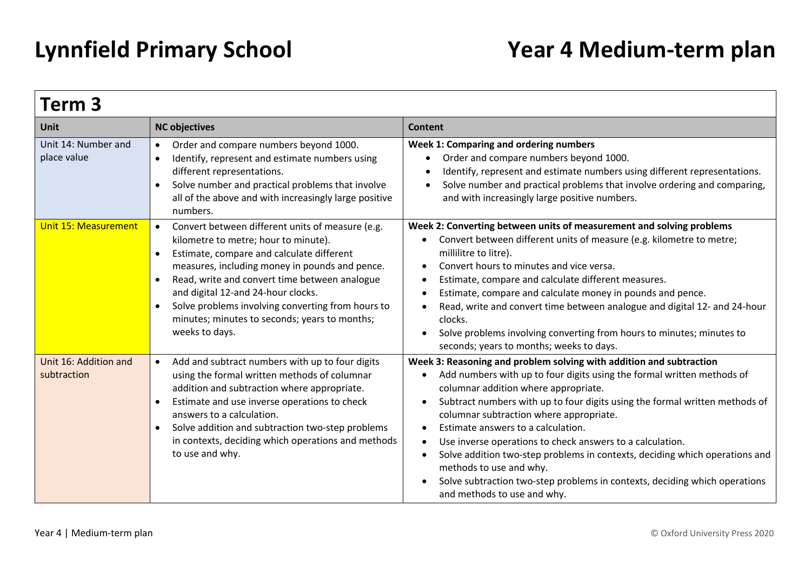| Term 3                               |                                                                                                                                                                                                                                                                                                                                                                                                                                  |                                                                                                                                                                                                                                                                                                                                                                                                                                                                                                                                                                                                                                                        |  |
|--------------------------------------|----------------------------------------------------------------------------------------------------------------------------------------------------------------------------------------------------------------------------------------------------------------------------------------------------------------------------------------------------------------------------------------------------------------------------------|--------------------------------------------------------------------------------------------------------------------------------------------------------------------------------------------------------------------------------------------------------------------------------------------------------------------------------------------------------------------------------------------------------------------------------------------------------------------------------------------------------------------------------------------------------------------------------------------------------------------------------------------------------|--|
| Unit                                 | <b>NC objectives</b>                                                                                                                                                                                                                                                                                                                                                                                                             | <b>Content</b>                                                                                                                                                                                                                                                                                                                                                                                                                                                                                                                                                                                                                                         |  |
| Unit 14: Number and<br>place value   | Order and compare numbers beyond 1000.<br>$\bullet$<br>Identify, represent and estimate numbers using<br>$\bullet$<br>different representations.<br>Solve number and practical problems that involve<br>all of the above and with increasingly large positive<br>numbers.                                                                                                                                                        | Week 1: Comparing and ordering numbers<br>Order and compare numbers beyond 1000.<br>Identify, represent and estimate numbers using different representations.<br>$\bullet$<br>Solve number and practical problems that involve ordering and comparing,<br>and with increasingly large positive numbers.                                                                                                                                                                                                                                                                                                                                                |  |
| <b>Unit 15: Measurement</b>          | Convert between different units of measure (e.g.<br>$\bullet$<br>kilometre to metre; hour to minute).<br>Estimate, compare and calculate different<br>$\bullet$<br>measures, including money in pounds and pence.<br>Read, write and convert time between analogue<br>and digital 12-and 24-hour clocks.<br>Solve problems involving converting from hours to<br>minutes; minutes to seconds; years to months;<br>weeks to days. | Week 2: Converting between units of measurement and solving problems<br>Convert between different units of measure (e.g. kilometre to metre;<br>millilitre to litre).<br>Convert hours to minutes and vice versa.<br>Estimate, compare and calculate different measures.<br>Estimate, compare and calculate money in pounds and pence.<br>$\bullet$<br>Read, write and convert time between analogue and digital 12- and 24-hour<br>clocks.<br>Solve problems involving converting from hours to minutes; minutes to<br>$\bullet$<br>seconds; years to months; weeks to days.                                                                          |  |
| Unit 16: Addition and<br>subtraction | Add and subtract numbers with up to four digits<br>$\bullet$<br>using the formal written methods of columnar<br>addition and subtraction where appropriate.<br>Estimate and use inverse operations to check<br>answers to a calculation.<br>Solve addition and subtraction two-step problems<br>in contexts, deciding which operations and methods<br>to use and why.                                                            | Week 3: Reasoning and problem solving with addition and subtraction<br>Add numbers with up to four digits using the formal written methods of<br>columnar addition where appropriate.<br>Subtract numbers with up to four digits using the formal written methods of<br>columnar subtraction where appropriate.<br>Estimate answers to a calculation.<br>Use inverse operations to check answers to a calculation.<br>Solve addition two-step problems in contexts, deciding which operations and<br>$\bullet$<br>methods to use and why.<br>Solve subtraction two-step problems in contexts, deciding which operations<br>and methods to use and why. |  |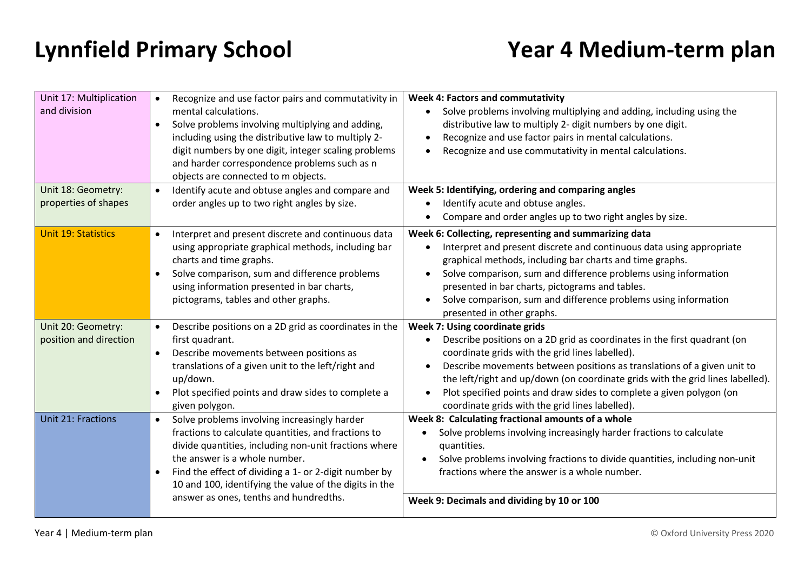| Unit 17: Multiplication<br>and division<br>Unit 18: Geometry:<br>properties of shapes | Recognize and use factor pairs and commutativity in<br>$\bullet$<br>mental calculations.<br>Solve problems involving multiplying and adding,<br>including using the distributive law to multiply 2-<br>digit numbers by one digit, integer scaling problems<br>and harder correspondence problems such as n<br>objects are connected to m objects.<br>Identify acute and obtuse angles and compare and<br>$\bullet$<br>order angles up to two right angles by size. | <b>Week 4: Factors and commutativity</b><br>Solve problems involving multiplying and adding, including using the<br>distributive law to multiply 2- digit numbers by one digit.<br>Recognize and use factor pairs in mental calculations.<br>Recognize and use commutativity in mental calculations.<br>Week 5: Identifying, ordering and comparing angles<br>Identify acute and obtuse angles.<br>Compare and order angles up to two right angles by size. |
|---------------------------------------------------------------------------------------|---------------------------------------------------------------------------------------------------------------------------------------------------------------------------------------------------------------------------------------------------------------------------------------------------------------------------------------------------------------------------------------------------------------------------------------------------------------------|-------------------------------------------------------------------------------------------------------------------------------------------------------------------------------------------------------------------------------------------------------------------------------------------------------------------------------------------------------------------------------------------------------------------------------------------------------------|
| <b>Unit 19: Statistics</b>                                                            | Interpret and present discrete and continuous data<br>$\bullet$<br>using appropriate graphical methods, including bar<br>charts and time graphs.<br>Solve comparison, sum and difference problems<br>using information presented in bar charts,<br>pictograms, tables and other graphs.                                                                                                                                                                             | Week 6: Collecting, representing and summarizing data<br>Interpret and present discrete and continuous data using appropriate<br>graphical methods, including bar charts and time graphs.<br>Solve comparison, sum and difference problems using information<br>presented in bar charts, pictograms and tables.<br>Solve comparison, sum and difference problems using information<br>presented in other graphs.                                            |
| Unit 20: Geometry:<br>position and direction                                          | Describe positions on a 2D grid as coordinates in the<br>first quadrant.<br>Describe movements between positions as<br>$\bullet$<br>translations of a given unit to the left/right and<br>up/down.<br>Plot specified points and draw sides to complete a<br>given polygon.                                                                                                                                                                                          | Week 7: Using coordinate grids<br>Describe positions on a 2D grid as coordinates in the first quadrant (on<br>coordinate grids with the grid lines labelled).<br>Describe movements between positions as translations of a given unit to<br>the left/right and up/down (on coordinate grids with the grid lines labelled).<br>Plot specified points and draw sides to complete a given polygon (on<br>coordinate grids with the grid lines labelled).       |
| <b>Unit 21: Fractions</b>                                                             | Solve problems involving increasingly harder<br>$\bullet$<br>fractions to calculate quantities, and fractions to<br>divide quantities, including non-unit fractions where<br>the answer is a whole number.<br>Find the effect of dividing a 1- or 2-digit number by<br>$\bullet$<br>10 and 100, identifying the value of the digits in the<br>answer as ones, tenths and hundredths.                                                                                | Week 8: Calculating fractional amounts of a whole<br>Solve problems involving increasingly harder fractions to calculate<br>quantities.<br>Solve problems involving fractions to divide quantities, including non-unit<br>fractions where the answer is a whole number.<br>Week 9: Decimals and dividing by 10 or 100                                                                                                                                       |